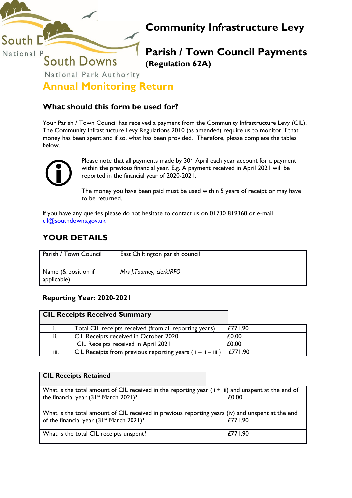

# **Community Infrastructure Levy**

**Parish / Town Council Payments (Regulation 62A)**

**Annual Monitoring Return**

## **What should this form be used for?**

Your Parish / Town Council has received a payment from the Community Infrastructure Levy (CIL). The Community Infrastructure Levy Regulations 2010 (as amended) require us to monitor if that money has been spent and if so, what has been provided. Therefore, please complete the tables below.



Please note that all payments made by  $30<sup>th</sup>$  April each year account for a payment within the previous financial year. E.g. A payment received in April 2021 will be reported in the financial year of 2020-2021.

The money you have been paid must be used within 5 years of receipt or may have to be returned.

If you have any queries please do not hesitate to contact us on 01730 819360 or e-mail [cil@southdowns.gov.uk](mailto:cil@southdowns.gov.uk)

# **YOUR DETAILS**

| Parish / Town Council              | East Chiltington parish council |
|------------------------------------|---------------------------------|
| Name (& position if<br>applicable) | Mrs J.Toomey, clerk/RFO         |

## **Reporting Year: 2020-2021**

|      | <b>CIL Receipts Received Summary</b>                          |         |
|------|---------------------------------------------------------------|---------|
|      | Total CIL receipts received (from all reporting years)        | £771.90 |
| ii.  | CIL Receipts received in October 2020                         | £0.00   |
|      | CIL Receipts received in April 2021                           | £0.00   |
| iii. | CIL Receipts from previous reporting years ( $i - ii - iii$ ) | £771.90 |

| <b>CIL Receipts Retained</b>                                                                                                                             |         |
|----------------------------------------------------------------------------------------------------------------------------------------------------------|---------|
| What is the total amount of CIL received in the reporting year (ii + iii) and unspent at the end of<br>the financial year $(31^{st}$ March 2021)?        | £0.00   |
| What is the total amount of CIL received in previous reporting years (iv) and unspent at the end<br>of the financial year (31 <sup>st</sup> March 2021)? | £771.90 |
| What is the total CIL receipts unspent?                                                                                                                  | £771.90 |